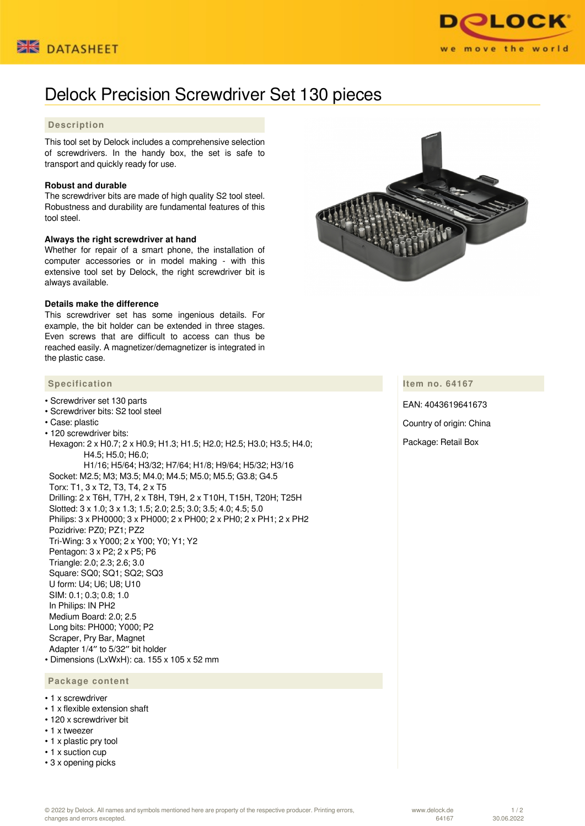



# Delock Precision Screwdriver Set 130 pieces

## **Description**

This tool set by Delock includes a comprehensive selection of screwdrivers. In the handy box, the set is safe to transport and quickly ready for use.

#### **Robust and durable**

The screwdriver bits are made of high quality S2 tool steel. Robustness and durability are fundamental features of this tool steel.

#### **Always the right screwdriver at hand**

Whether for repair of a smart phone, the installation of computer accessories or in model making - with this extensive tool set by Delock, the right screwdriver bit is always available.

#### **Details make the difference**

This screwdriver set has some ingenious details. For example, the bit holder can be extended in three stages. Even screws that are difficult to access can thus be reached easily. A magnetizer/demagnetizer is integrated in the plastic case.

## **Specification**

- Screwdriver set 130 parts
- Screwdriver bits: S2 tool steel • Case: plastic • 120 screwdriver bits: Hexagon: 2 x H0.7; 2 x H0.9; H1.3; H1.5; H2.0; H2.5; H3.0; H3.5; H4.0; H4.5; H5.0; H6.0; H1/16; H5/64; H3/32; H7/64; H1/8; H9/64; H5/32; H3/16 Socket: M2.5; M3; M3.5; M4.0; M4.5; M5.0; M5.5; G3.8; G4.5 Torx: T1, 3 x T2, T3, T4, 2 x T5 Drilling: 2 x T6H, T7H, 2 x T8H, T9H, 2 x T10H, T15H, T20H; T25H Slotted: 3 x 1.0; 3 x 1.3; 1.5; 2.0; 2.5; 3.0; 3.5; 4.0; 4.5; 5.0 Philips: 3 x PH0000; 3 x PH000; 2 x PH00; 2 x PH0; 2 x PH1; 2 x PH2 Pozidrive: PZ0; PZ1; PZ2 Tri-Wing: 3 x Y000; 2 x Y00; Y0; Y1; Y2 Pentagon: 3 x P2; 2 x P5; P6 Triangle: 2.0; 2.3; 2.6; 3.0 Square: SQ0; SQ1; SQ2; SQ3 U form: U4; U6; U8; U10 SIM: 0.1; 0.3; 0.8; 1.0 In Philips: IN PH2 Medium Board: 2.0; 2.5 Long bits: PH000; Y000; P2 Scraper, Pry Bar, Magnet Adapter 1/4″ to 5/32″ bit holder • Dimensions (LxWxH): ca. 155 x 105 x 52 mm  **Package content**

### • 1 x screwdriver

- 1 x flexible extension shaft
- 120 x screwdriver bit
- 1 x tweezer
- 1 x plastic pry tool
- 1 x suction cup
- 3 x opening picks



#### **Item no. 64167**

EAN: 4043619641673 Country of origin: China Package: Retail Box